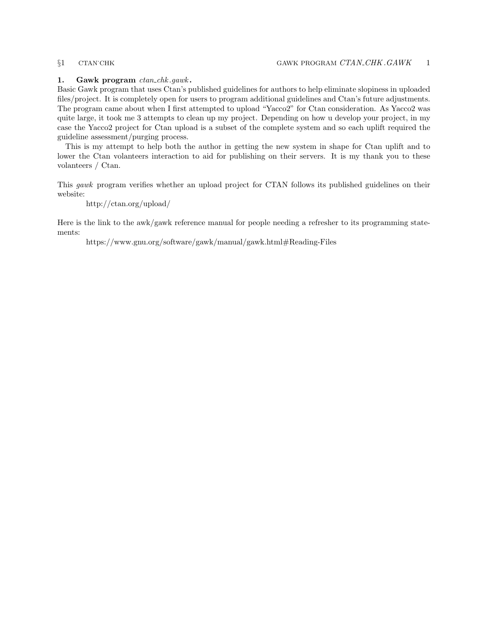# <span id="page-0-0"></span>1. Gawk program  $ctan\_chk.gawk$ .

Basic Gawk program that uses Ctan's published guidelines for authors to help eliminate slopiness in uploaded files/project. It is completely open for users to program additional guidelines and Ctan's future adjustments. The program came about when I first attempted to upload "Yacco2" for Ctan consideration. As Yacco2 was quite large, it took me 3 attempts to clean up my project. Depending on how u develop your project, in my case the Yacco2 project for Ctan upload is a subset of the complete system and so each uplift required the guideline assessment/purging process.

This is my attempt to help both the author in getting the new system in shape for Ctan uplift and to lower the Ctan volanteers interaction to aid for publishing on their servers. It is my thank you to these volanteers / Ctan.

This gawk program verifies whether an upload project for CTAN follows its published guidelines on their website:

http://ctan.org/upload/

Here is the link to the awk/gawk reference manual for people needing a refresher to its programming statements:

https://www.gnu.org/software/gawk/manual/gawk.html#Reading-Files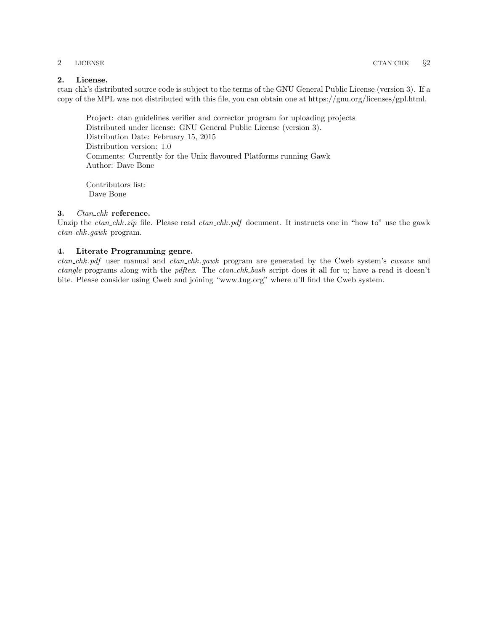# <span id="page-1-0"></span>2. License.

ctan chk's distributed source code is subject to the terms of the GNU General Public License (version 3). If a copy of the MPL was not distributed with this file, you can obtain one at https://gnu.org/licenses/gpl.html.

Project: ctan guidelines verifier and corrector program for uploading projects Distributed under license: GNU General Public License (version 3). Distribution Date: February 15, 2015 Distribution version: 1.0 Comments: Currently for the Unix flavoured Platforms running Gawk Author: Dave Bone

Contributors list: Dave Bone

# 3. Ctan\_chk reference.

Unzip the *ctan\_chk.zip* file. Please read *ctan\_chk.pdf* document. It instructs one in "how to" use the gawk ctan chk .gawk program.

# 4. Literate Programming genre.

ctan chk .pdf user manual and ctan chk .gawk program are generated by the Cweb system's cweave and ctangle programs along with the pdftex. The ctan chk bash script does it all for u; have a read it doesn't bite. Please consider using Cweb and joining "www.tug.org" where u'll find the Cweb system.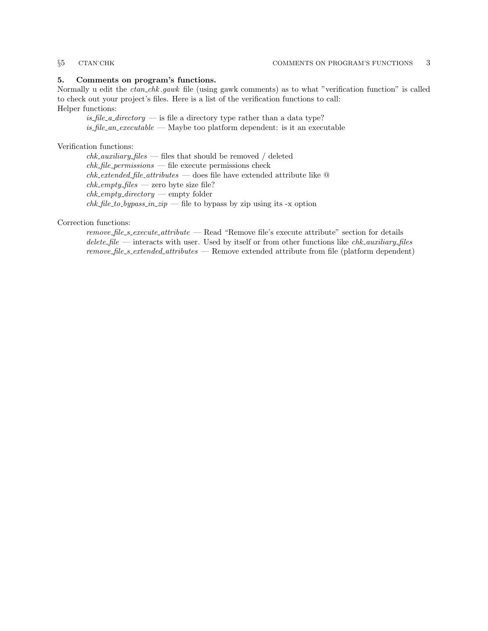# <span id="page-2-0"></span>5. Comments on program's functions.

Normally u edit the *ctan\_chk .gawk* file (using gawk comments) as to what "verification function" is called to check out your project's files. Here is a list of the verification functions to call: Helper functions:

 $is$ -file-a-directory  $-$  is file a directory type rather than a data type?  $is$ -file  $an$ -executable — Maybe too platform dependent: is it an executable

## Verification functions:

 $chk_auxiliary_{\text{f}}\hat{g}$  — files that should be removed / deleted  $chk$ -file permissions — file execute permissions check  $chk\_extended$ -file\_attributes — does file have extended attribute like  $@$  $\mathit{chk\_empty_{\text{-}} files$  — zero byte size file?  $chk\_empty\_directory$  — empty folder  $chk$ -file to bypass in  $zip$  — file to bypass by zip using its -x option

# Correction functions:

remove\_file\_s\_execute\_attribute — Read "Remove file's execute attribute" section for details  $delete$  file — interacts with user. Used by itself or from other functions like *chk auxiliary files* remove\_file\_s\_extended\_attributes — Remove extended attribute from file (platform dependent)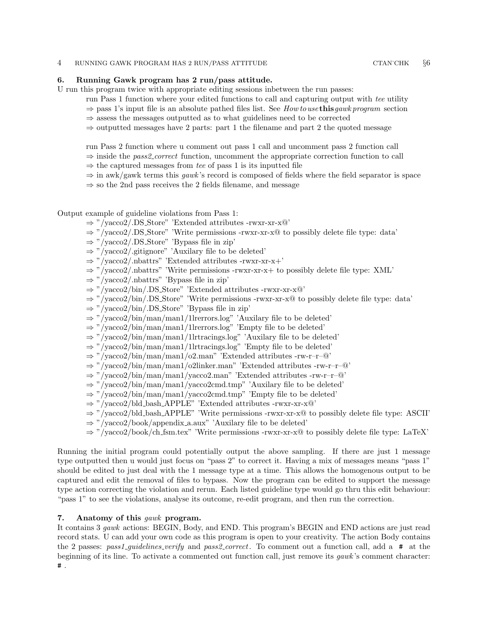# <span id="page-3-0"></span>6. Running Gawk program has 2 run/pass attitude.

U run this program twice with appropriate editing sessions inbetween the run passes:

- run Pass 1 function where your edited functions to call and capturing output with tee utility
- $\Rightarrow$  pass 1's input file is an absolute pathed files list. See How to use this gawk program section
- $\Rightarrow$  assess the messages outputted as to what guidelines need to be corrected
- $\Rightarrow$  outputted messages have 2 parts: part 1 the filename and part 2 the quoted message

run Pass 2 function where u comment out pass 1 call and uncomment pass 2 function call

- $\Rightarrow$  inside the pass2 correct function, uncomment the appropriate correction function to call
- $\Rightarrow$  the captured messages from tee of pass 1 is its inputted file

 $\Rightarrow$  in awk/gawk terms this *gawk*'s record is composed of fields where the field separator is space

 $\Rightarrow$  so the 2nd pass receives the 2 fields filename, and message

Output example of guideline violations from Pass 1:

- ⇒ "/yacco2/.DS Store" 'Extended attributes -rwxr-xr-x@'
- ⇒ "/yacco2/.DS Store" 'Write permissions -rwxr-xr-x@ to possibly delete file type: data'
- $\Rightarrow$  "/yacco2/.DS\_Store" 'Bypass file in zip'
- ⇒ "/yacco2/.gitignore" 'Auxilary file to be deleted'
- ⇒ "/yacco2/.nbattrs" 'Extended attributes -rwxr-xr-x+'
- ⇒ "/yacco2/.nbattrs" 'Write permissions -rwxr-xr-x+ to possibly delete file type: XML'
- ⇒ "/yacco2/.nbattrs" 'Bypass file in zip'
- ⇒ "/yacco2/bin/.DS Store" 'Extended attributes -rwxr-xr-x@'
- ⇒ "/yacco2/bin/.DS Store" 'Write permissions -rwxr-xr-x@ to possibly delete file type: data'
- ⇒ "/yacco2/bin/.DS Store" 'Bypass file in zip'
- ⇒ "/yacco2/bin/man/man1/1lrerrors.log" 'Auxilary file to be deleted'
- $\Rightarrow$  "/yacco2/bin/man/man1/1lrerrors.log" 'Empty file to be deleted'
- $\Rightarrow$  "/yacco2/bin/man/man1/1lrtracings.log" 'Auxilary file to be deleted'
- $\Rightarrow$  "/yacco2/bin/man/man1/1lrtracings.log" 'Empty file to be deleted'
- $\Rightarrow$  "/yacco2/bin/man/man1/o2.man" 'Extended attributes -rw-r-r- $@$ '
- ⇒ "/yacco2/bin/man/man1/o2linker.man" 'Extended attributes -rw-r–r–@'
- $\Rightarrow$  "/yacco2/bin/man/man1/yacco2.man" 'Extended attributes -rw-r-r- $\circ$ "
- $\Rightarrow$  "/yacco2/bin/man/man1/yacco2cmd.tmp" 'Auxilary file to be deleted'
- $\Rightarrow$  "/yacco2/bin/man/man1/yacco2cmd.tmp" 'Empty file to be deleted'
- ⇒ "/yacco2/bld bash APPLE" 'Extended attributes -rwxr-xr-x@'
- ⇒ "/yacco2/bld bash APPLE" 'Write permissions -rwxr-xr-x@ to possibly delete file type: ASCII'
- $\Rightarrow$  "/yacco2/book/appendix a.aux" 'Auxilary file to be deleted'
- ⇒ "/yacco2/book/ch fsm.tex" 'Write permissions -rwxr-xr-x@ to possibly delete file type: LaTeX'

Running the initial program could potentially output the above sampling. If there are just 1 message type outputted then u would just focus on "pass 2" to correct it. Having a mix of messages means "pass 1" should be edited to just deal with the 1 message type at a time. This allows the homogenous output to be captured and edit the removal of files to bypass. Now the program can be edited to support the message type action correcting the violation and rerun. Each listed guideline type would go thru this edit behaviour: "pass 1" to see the violations, analyse its outcome, re-edit program, and then run the correction.

### 7. Anatomy of this gawk program.

It contains 3 gawk actions: BEGIN, Body, and END. This program's BEGIN and END actions are just read record stats. U can add your own code as this program is open to your creativity. The action Body contains the 2 passes: pass1 guidelines verify and pass2 correct. To comment out a function call, add a # at the beginning of its line. To activate a commented out function call, just remove its gawk 's comment character:  $\#$  .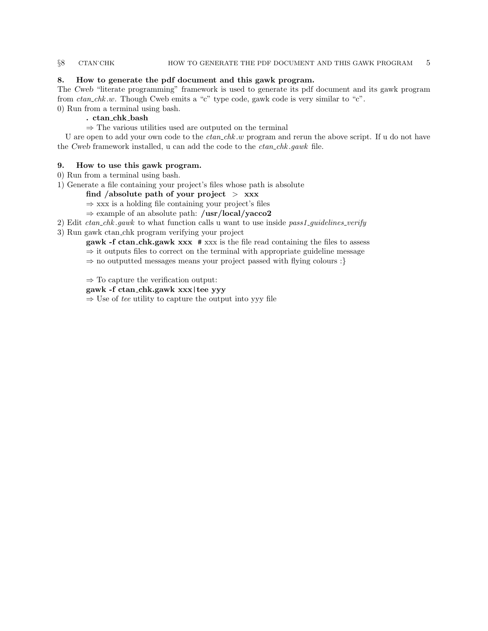### <span id="page-4-0"></span>§8 CTAN˙CHK HOW TO GENERATE THE PDF DOCUMENT AND THIS GAWK PROGRAM 5

# 8. How to generate the pdf document and this gawk program.

The Cweb "literate programming" framework is used to generate its pdf document and its gawk program from  $ctan\_chk.w$ . Though Cweb emits a "c" type code, gawk code is very similar to "c". 0) Run from a terminal using bash.

# . ctan chk bash

 $\Rightarrow$  The various utilities used are outputed on the terminal

U are open to add your own code to the  $ctan_{\text{c}} c h k w$  program and rerun the above script. If u do not have the Cweb framework installed, u can add the code to the *ctan\_chk.gawk* file.

# 9. How to use this gawk program.

0) Run from a terminal using bash.

1) Generate a file containing your project's files whose path is absolute

### find /absolute path of your project  $>$  xxx

 $\Rightarrow$  xxx is a holding file containing your project's files

 $\Rightarrow$  example of an absolute path: /usr/local/yacco2

2) Edit  $ctan\_chk.gawk$  to what function calls u want to use inside  $pass1_guidelines\_verify$ 

3) Run gawk ctan chk program verifying your project

gawk -f ctan chk.gawk xxx # xxx is the file read containing the files to assess

 $\Rightarrow$  it outputs files to correct on the terminal with appropriate guideline message

 $\Rightarrow$  no outputted messages means your project passed with flying colours :

 $\Rightarrow$  To capture the verification output:

## gawk -f ctan chk.gawk xxx|tee yyy

 $\Rightarrow$  Use of tee utility to capture the output into yyy file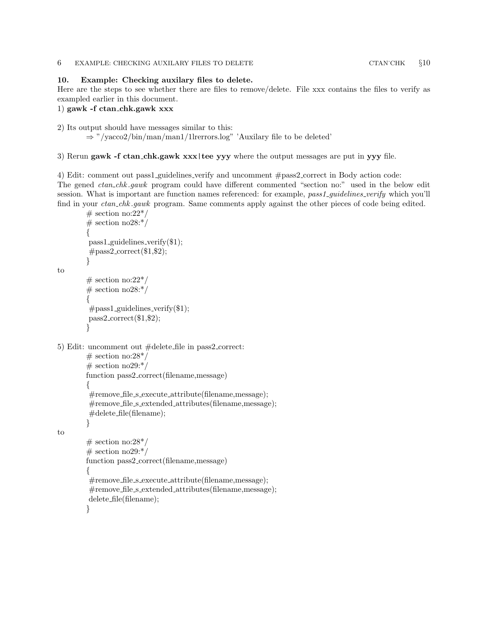# <span id="page-5-0"></span>10. Example: Checking auxilary files to delete.

Here are the steps to see whether there are files to remove/delete. File xxx contains the files to verify as exampled earlier in this document.

# 1) gawk -f ctan chk.gawk xxx

2) Its output should have messages similar to this:

⇒ "/yacco2/bin/man/man1/1lrerrors.log" 'Auxilary file to be deleted'

3) Rerun gawk -f ctan\_chk.gawk xxx|tee yyy where the output messages are put in yyy file.

4) Edit: comment out pass1 guidelines verify and uncomment #pass2 correct in Body action code: The gened *ctan\_chk.gawk* program could have different commented "section no:" used in the below edit session. What is important are function names referenced: for example, pass1\_quidelines\_verify which you'll find in your *ctan\_chk.gawk* program. Same comments apply against the other pieces of code being edited.

```
# section no:22<sup>*</sup>/
# section no28:*/
{
pass1-guidelines-verify(\$1);\#pass2\_correct(\$1,\$2);}
```
#### to

```
\# section no:<br>22*/
# section no28:*/
{
\#pass1-guidelines_verify($1);
pass2.correct ($1, $2);}
```

```
5) Edit: uncomment out #delete file in pass2 correct:
```

```
\# section no:28<sup>*</sup>/
\# section no29:<sup>*</sup>/
function pass2 correct(filename,message)
{
#remove file s execute attribute(filename,message);
#remove file s extended attributes(filename,message);
\#delete_file(filename);
}
```
to

```
\# section no:<br>28*/
# section no29:*/
function pass2 correct(filename,message)
{
#remove file s execute attribute(filename,message);
#remove file s extended attributes(filename,message);
delete file(filename);
}
```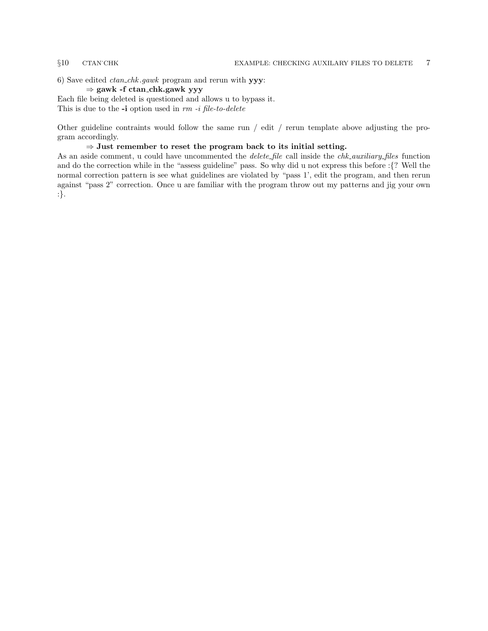6) Save edited  $ctan\_chk.gawk$  program and rerun with  $yyy$ :

 $\Rightarrow$  gawk -f ctan\_chk.gawk yyy

Each file being deleted is questioned and allows u to bypass it. This is due to the -i option used in  $rm$  -i file-to-delete

Other guideline contraints would follow the same run / edit / rerun template above adjusting the program accordingly.

#### $\Rightarrow$  Just remember to reset the program back to its initial setting.

As an aside comment, u could have uncommented the *delete\_file* call inside the *chk\_auxiliary\_files* function and do the correction while in the "assess guideline" pass. So why did u not express this before :{? Well the normal correction pattern is see what guidelines are violated by "pass 1', edit the program, and then rerun against "pass 2" correction. Once u are familiar with the program throw out my patterns and jig your own :}.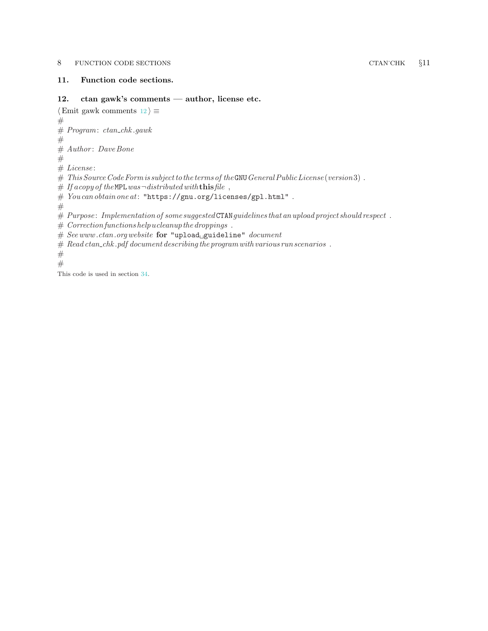### <span id="page-7-0"></span>8 FUNCTION CODE SECTIONS CTAN<sup>·</sup>CHA §11

# 11. Function code sections.

### 12. ctan gawk's comments — author, license etc.

 $\langle$  Emit gawk comments 12 $\rangle \equiv$ # # Program: ctan chk .gawk  $#$  $#$  Author: Dave Bone #  $# \: License:$  $\#$  This Source Code Form is subject to the terms of the GNU General Public License (version 3). # If a copy of the MPL was  $\neg$  distributed with this file,  $\# \ \mathit{You} \ can \ obtain \ one \ at \colon \ "https://gnu.org/licenses/gpl.html" \ .$ #  $#Purpose: Implementation of some suggested CTAN guidelines that an upload project should respect.$  $#$  Correction functions help ucleanup the droppings. # See www.ctan.org website for "upload guideline" document  $\# \ Read\ can\_chk.\ pdf\ document\ describing\ the\ program\ with\ various\ run\ scenarios\ .$ # # This code is used in section [34](#page-17-0).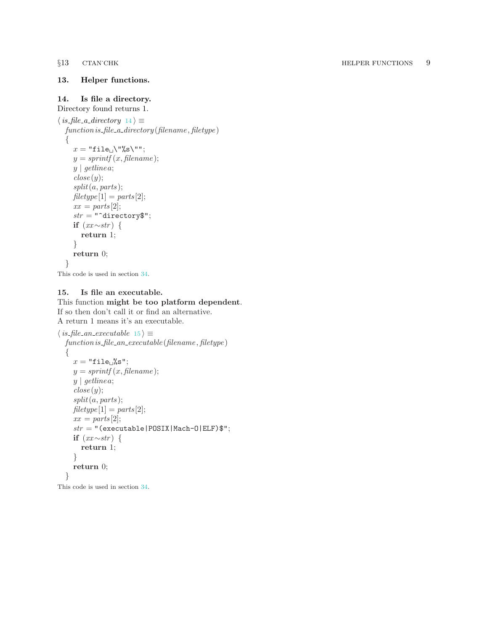#### <span id="page-8-0"></span>§13 CTAN˙CHK HELPER FUNCTIONS 9

# 13. Helper functions.

# 14. Is file a directory.

Directory found returns 1.

```
\langle is_file_a_directory 14 \rangle \equivfunction is_file_a_directory (filename, filetype)
  {
     x= "file\cup\"%s\"";
     y =sprintf(x, filename);
     y \mid getline a;close(y);split(a, parts);fletype[1] = parts[2];xx = parts[2];str = "^{\dagger}directory$";
     if (xx \sim str) {
        return 1;
     }
     return 0;
  }
This code is used in section 34
.
```
# 15. Is file an executable.

This function might be too platform dependent . If so then don't call it or find an alternative. A return 1 means it's an executable.

```
\langle is_file_an_executable 15 \rangle \equivfunction is_file_an_executable (filename, filetype)
  {
     x = "file\_%s";
     y =sprintf(x, filename);
     y \mid getline a;close(y);split(a, parts);filetype[1] = parts[2];xx = parts[2];str = "(executable | POSIX | Mach-0 | ELF)$";
     if (xx \sim str) {
       return 1;
     }
     return 0;
  }
This code is used in section 34
.
```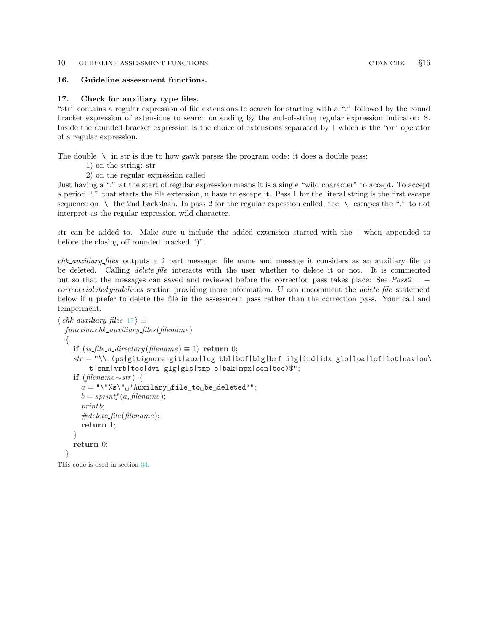#### <span id="page-9-0"></span>10 GUIDELINE ASSESSMENT FUNCTIONS CTAN
CHA 616

### 16. Guideline assessment functions.

# 17. Check for auxiliary type files.

"str" contains a regular expression of file extensions to search for starting with a "." followed by the round bracket expression of extensions to search on ending by the end-of-string regular expression indicator: \$. Inside the rounded bracket expression is the choice of extensions separated by | which is the "or" operator of a regular expression.

The double  $\setminus$  in str is due to how gawk parses the program code: it does a double pass:

- 1) on the string: str
- 2) on the regular expression called

Just having a "." at the start of regular expression means it is a single "wild character" to accept. To accept a period "." that starts the file extension, u have to escape it. Pass 1 for the literal string is the first escape sequence on  $\setminus$  the 2nd backslash. In pass 2 for the regular expession called, the  $\setminus$  escapes the "." to not interpret as the regular expression wild character.

str can be added to. Make sure u include the added extension started with the | when appended to before the closing off rounded bracked ")".

chk auxiliary files outputs a 2 part message: file name and message it considers as an auxiliary file to be deleted. Calling *delete\_file* interacts with the user whether to delete it or not. It is commented out so that the messages can saved and reviewed before the correction pass takes place: See Pass2−−− correct violated guidelines section providing more information. U can uncomment the delete-file statement below if u prefer to delete the file in the assessment pass rather than the correction pass. Your call and temperment.

```
\langle chk_auxiliary_files \; 17 \rangle \equivfunction chk<sub>-</sub>auxiliary-files (filename)
    {
         if (is_\text{-}file_\text{-}a_\text{-}directory(filename) \equiv 1) return 0;
         str = "\\csc(ps|gitingnone|git|aux|log|bb||bcf|blg|brf|ilg|ind|idx|glo|loa|lof|lot|nav|ou\csc(ps)t|snm|vrb|toc|dvi|glg|gls|tmp|o|bak|mpx|scn|toc)$";
         if (filename∼str) {
             a = "\n", s \n \mathcal{N}_\n \mathcal{N}_\n \mathcal{N}_\n \mathcal{N}_\n \mathcal{N}_\n \mathcal{N}_\n \mathcal{N}_\n \mathcal{N}_\n \mathcal{N}_\n \mathcal{N}_\n \mathcal{N}_\n \mathcal{N}_\n \mathcal{N}_\n \mathcal{N}_\n \mathcal{N}_\n \mathcal{N}_\n \mathcal{N}_\n \mathcal{N}_\n \mathcal{N}_\n \mathcal{N}_\n \mathcal{N}_\n \mathcal{N}_\n \mathcal{N}_\n \mathcal{N}_\n \mathcal{N}_\n \mathcal{N}_\n \mathcal{b = sprintf (a, filename);print b;
             #delete_{\textit{file}}(filename);return 1;
         }
         return 0;
    }
This code is used in section 34.
```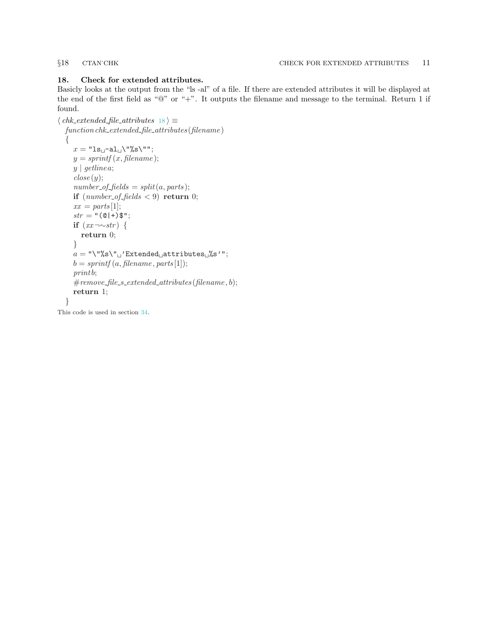<span id="page-10-0"></span>

# 18. Check for extended attributes.

Basicly looks at the output from the "ls -al" of a file. If there are extended attributes it will be displayed at the end of the first field as "@" or "+". It outputs the filename and message to the terminal. Return 1 if found.

```
\langle chk_{\textit{extended-file}\_}attributes 18\rangle \equivfunction chk-extended-file-attributes(filename){
     x = " \mathsf{ls}_\sqcup \textsf{-al}_\sqcup \backslash \textsf{""} \texttt{\%s}\backslash \textsf{""};y = sprintf (x, filename);y \mid getline a;close(y);number_of_{fields} = split(a, parts);if (number_of_{fields} < 9) return 0;
      xx = parts[1];str = "({\bf 0}|+)$";
      if (xx\neg \sim str) {
         return 0;
      }
      a = "\n\%s\n\cdot" 'Extended attributes \frac{?s}{s}'";
      b = sprintf (a, filename, parts[1]);print b;
      #remove_{file\_s\_extended_{-attribute}(filename, b);return 1;
   }
```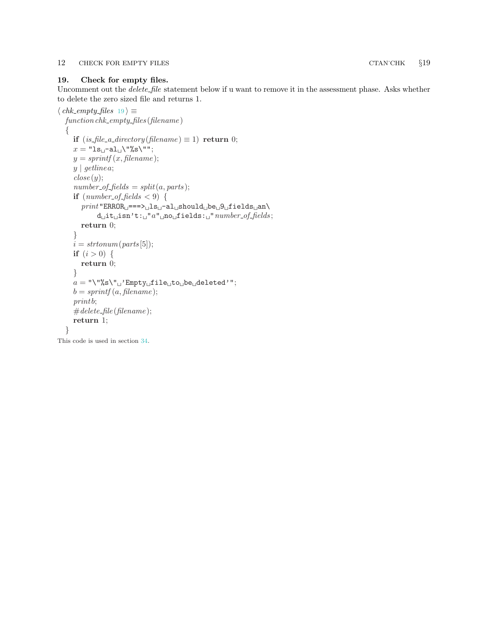### <span id="page-11-0"></span>19. Check for empty files.

Uncomment out the *delete-file* statement below if u want to remove it in the assessment phase. Asks whether to delete the zero sized file and returns 1.

```
\langle chk \text{-}empty \ll 19 \rangle \equivfunction chk empty files (filename )
   {
      if (is_{\text{-}file\_a\_{directory}(\text{filename}) \equiv 1) return 0;
      x = "ls<sub>□</sub>−a1<sub>□</sub>\\"s\\"";y = sprintf (x, filename);y \mid getline a;close(y);number_of_{fields} = split(a, parts);if (number_of_{fields} < 9) {
          print \texttt{"ERROR}\texttt{_{i}} == \texttt{>_{i}} \texttt{ls}_{i} - \texttt{al}_{i} \texttt{should}_{i} \texttt{be}_{i} \texttt{9}_{i} \texttt{fields}_{i} \texttt{an} \texttt{\textbackslash}d_{\Box}it_{\Box}isn't:_{\Box}"a"_{\Box}no_{\Box}fields:_{\Box}" number_{\Box}of<sub>-</sub>fields;
          return 0;
       }
       i = strtonum(parts[5]);if (i > 0) \{return 0;
       }
       a = "\verb"``s\verb"''"`Empty`{}file`_to`_be`_deleted'";b = sprintf (a, filename);print b;
       #delete-file (filename);
       return 1;
   }
This code is used in section 34.
```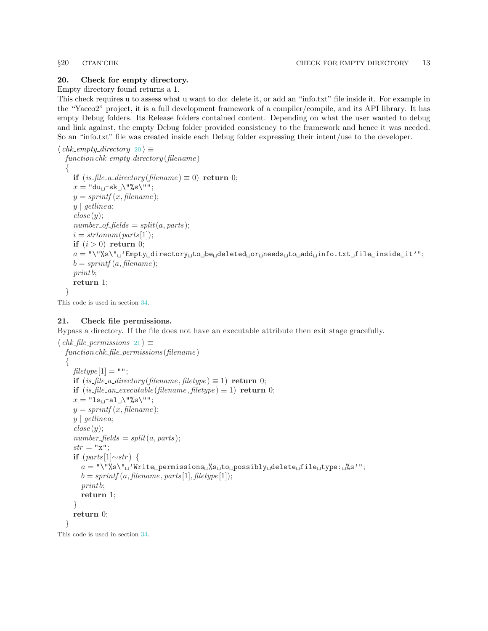# <span id="page-12-0"></span>20. Check for empty directory.

Empty directory found returns a 1.

This check requires u to assess what u want to do: delete it, or add an "info.txt" file inside it. For example in the "Yacco2" project, it is a full development framework of a compiler/compile, and its API library. It has empty Debug folders. Its Release folders contained content. Depending on what the user wanted to debug and link against, the empty Debug folder provided consistency to the framework and hence it was needed. So an "info.txt" file was created inside each Debug folder expressing their intent/use to the developer.

```
\langle chk \_empty\_directory 20 \rangle \equivfunction chk empty directory (filename )
   {
      if (is_\text{-file_a\text{-}directory(filename) \equiv 0) return 0;
      x = "du_1 - sk_1 \wedge "s\wedge";
      y = sprintf (x, filename);y | getlinea;
      close(y);number\_of\_fields = split(a, parts);i = strtonum(parts[1]);if (i > 0) return 0;
      a = "\N"\&\N"_{\text{u}}'Empty<sub>u</sub>directory<sub>u</sub>to<sub>u</sub>be<sub>u</sub>deleted<sub>u</sub>or<sub>u</sub>needs<sub>u</sub>to<sub>u</sub>add<sub>u</sub>info.txt<sub>u</sub>file<sub>u</sub>inside<sub>u</sub>it'";
      b = sprintf (a, filename);print b;
      return 1;
   }
```
This code is used in section [34](#page-17-0).

# 21. Check file permissions.

Bypass a directory. If the file does not have an executable attribute then exit stage gracefully.

```
\langle chk_{\textit{i}}\hat{h}le_{\textit{j}}\hat{e}_{\textit{pre}m} \rangle \equivfunction chk file permissions (filename )
   {
       filetype[1] = "";
       if (is_file_a_d \r{directory} (filename, filetype) \equiv 1) return 0;
       if (is_file_an\_execute(filename, filetype) \equiv 1) return 0;
       x = " \mathbf{1} \mathbf{s}_\sqcup \text{-}\mathbf{a} \mathbf{1}_\sqcup \backslash \texttt{''}\texttt{''s} \backslash \texttt{''''};y = sprintf (x, filename);
       y \mid getline a;close(y);number_{\text{1}} fields = split(a, parts);str = "x":if {\text{parts}} [1] \sim str} {
          a = "\N"\s\"<sub>u</sub>'Write<sub>U</sub>permissions<sub>U</sub>%s<sub>U</sub>to<sub>U</sub>possibly<sub>U</sub>delete<sub>U</sub>file<sub>U</sub>type:<sub>U</sub>%s'";
          b = sprintf (a, filename, parts [1], filetype [1]);
          print b;
          return 1;
       }
       return 0;
   }
```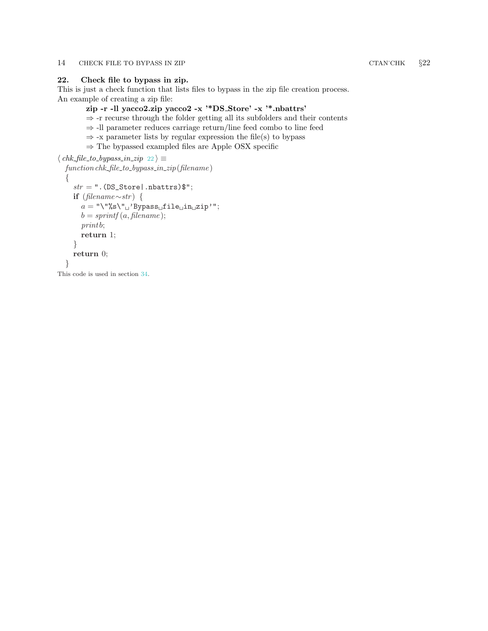<span id="page-13-0"></span>14 CHECK FILE TO BYPASS IN ZIP CTAN
CHECK FILE TO BYPASS IN ZIP

# 22. Check file to bypass in zip.

This is just a check function that lists files to bypass in the zip file creation process. An example of creating a zip file:

# zip -r -ll yacco2.zip yacco2 -x '\*DS Store' -x '\*.nbattrs'

 $\Rightarrow$  -r recurse through the folder getting all its subfolders and their contents

- ⇒ -ll parameter reduces carriage return/line feed combo to line feed
- $\Rightarrow$  -x parameter lists by regular expression the file(s) to bypass
- $\Rightarrow$  The bypassed exampled files are Apple OSX specific

```
\langle chk_{\textit{n}}file_{\textit{to}}\textit{bypass}_{\textit{n}}\rangle =function chk-file_to_by pass_in-zip (filename){
     str = ". (DS_Store | .nbattrs) ";
     if (filename∼str) {
        a = "\N"\s\Upsilon" 'Bypass file in zip'";
        b = sprintf (a, filename);print b;
        return 1;
     }
     return 0;
  }
This code is used in section 34.
```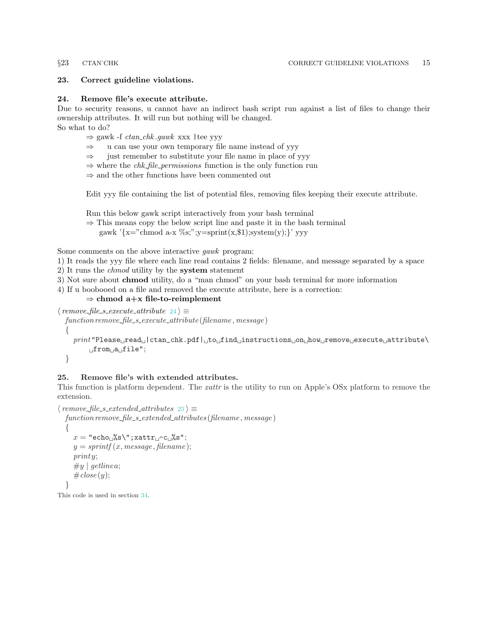# <span id="page-14-0"></span>23. Correct guideline violations.

#### 24. Remove file's execute attribute.

Due to security reasons, u cannot have an indirect bash script run against a list of files to change their ownership attributes. It will run but nothing will be changed. So what to do?

- $\Rightarrow$  gawk -f ctan\_chk.gawk xxx | tee yyy
- ⇒ u can use your own temporary file name instead of yyy
- ⇒ just remember to substitute your file name in place of yyy
- $\Rightarrow$  where the *chk\_file\_permissions* function is the only function run
- $\Rightarrow$  and the other functions have been commented out

Edit yyy file containing the list of potential files, removing files keeping their execute attribute.

Run this below gawk script interactively from your bash terminal

 $\Rightarrow$  This means copy the below script line and paste it in the bash terminal gawk '{x="chmod a-x %s;";y=sprint(x,\$1);system(y);}' yyy

Some comments on the above interactive gawk program:

- 1) It reads the yyy file where each line read contains 2 fields: filename, and message separated by a space
- 2) It runs the chmod utility by the system statement
- 3) Not sure about chmod utility, do a "man chmod" on your bash terminal for more information

4) If u boobooed on a file and removed the execute attribute, here is a correction:

# $\Rightarrow$  chmod a+x file-to-reimplement

```
\langle remove_file_s_execute_attribute 24 \rangle \equivfunction remove<sub>-file</sub> s<sub>-</sub>execute<sub>-attribute</sub> (filename, message)
  {
     print "Please read lctan_chk.pdf | rto find instructions \Omega on \Lambda how remove revecute attribute
           from a file";
  }
```
# 25. Remove file's with extended attributes.

This function is platform dependent. The xattr is the utility to run on Apple's OSx platform to remove the extension.

```
\langle remove_file_s_extended_attributes 25 \rangle \equivfunction remove-file-s-extended-attributes(filename, message){
     x = "echo\_ \%s \verb||" ; \verb|xattr|_c - c_ %s";y = sprintf (x, message, filename);printy;
     \#y \mid getlinea;\#close(y);}
```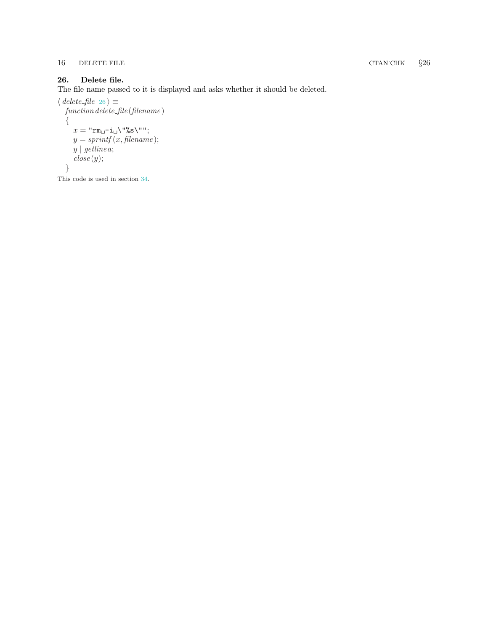# <span id="page-15-0"></span>16 DELETE FILE CTAN<sup>·</sup>CHK §26

# 26. Delete file.

The file name passed to it is displayed and asks whether it should be deleted.

```
\langle delete_file 26 \rangle \equivfunction \, delete\_file \, (filename){
      x = "rm_{\sqcup} -i_{\sqcup} \backslash "%s\"";
      y = sprintf (x, filename);y \mid getline a;close(y);}
```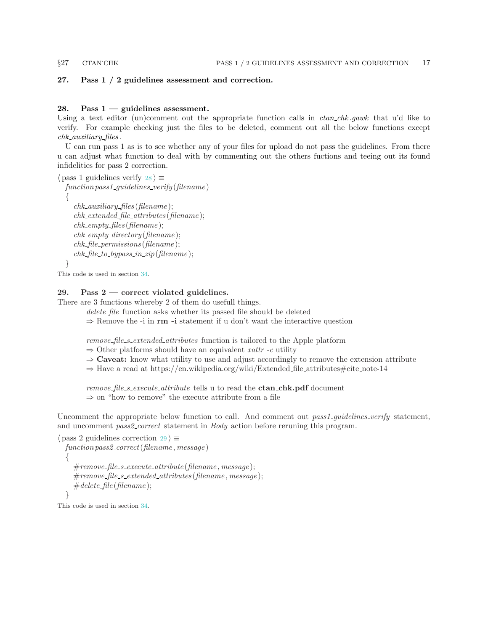<span id="page-16-0"></span>

### 27. Pass 1 / 2 guidelines assessment and correction.

### 28. Pass  $1$  — guidelines assessment.

Using a text editor (un)comment out the appropriate function calls in  $ctan\_chk.gawk$  that u'd like to verify. For example checking just the files to be deleted, comment out all the below functions except  $chk_auxiliary_{\text{f}}$ iles.

U can run pass 1 as is to see whether any of your files for upload do not pass the guidelines. From there u can adjust what function to deal with by commenting out the others fuctions and teeing out its found infidelities for pass 2 correction.

```
\langle pass 1 guidelines verify 28 \rangle \equivfunction pass1-quidelines-verify (filename)
  {
     chk_auxiliary_files (filename);
     chk\_extended_{\text{=}}fit_{\text{=}}attributes (filename);chk\_empty\_files (filename);chk\_empty\_directory (filename);
     chk file permissions (filename );
     chk-file to bypass in zip(filename);
  }
This code is used in section 34.
```
# 29. Pass  $2$  — correct violated guidelines.

There are 3 functions whereby 2 of them do usefull things.

delete file function asks whether its passed file should be deleted

 $\Rightarrow$  Remove the -i in **rm -i** statement if u don't want the interactive question

remove file s extended attributes function is tailored to the Apple platform

 $\Rightarrow$  Other platforms should have an equivalent xatter -c utility

 $\Rightarrow$  Caveat: know what utility to use and adjust accordingly to remove the extension attribute

 $\Rightarrow$  Have a read at https://en.wikipedia.org/wiki/Extended file attributes#cite\_note-14

remove\_file\_s\_execute\_attribute tells u to read the ctan\_chk.pdf document  $\Rightarrow$  on "how to remove" the execute attribute from a file

Uncomment the appropriate below function to call. And comment out *pass1\_quidelines\_verify* statement, and uncomment pass2\_correct statement in Body action before reruning this program.

```
\langle pass 2 guidelines correction 29 \rangle \equivfunction pass2\_correct (filename, message)
  {
     #remove_{file\_s\_execute\_attribute(filename, message);#remove_{file\_s\_extended_{-attribute}(filename, message);#delete_{\textit{file}}(\textit{filename});}
```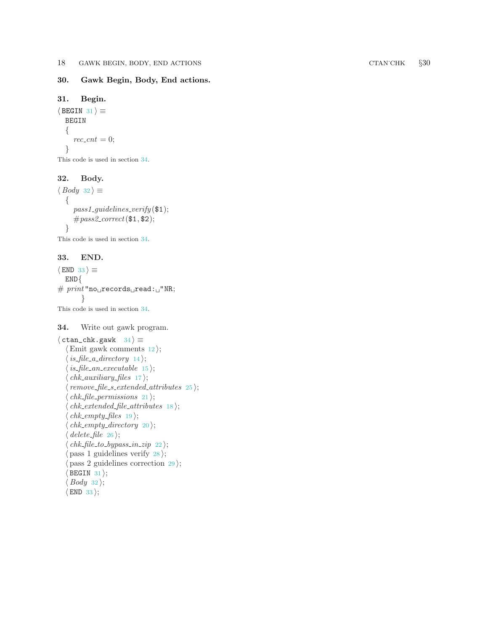# <span id="page-17-0"></span>30. Gawk Begin, Body, End actions.

```
31. Begin.
```
 $\langle$  BEGIN 31  $\rangle \equiv$ BEGIN {  $rec\_cnt = 0;$ }

This code is used in section 34.

# 32. Body.

```
\langle Body 32 \rangle \equiv\{pass1_{\text{}-}\t{guidelines\_verify(\$1);\}#pass2\_correct(*1, *2);}
```
This code is used in section 34.

# 33. END.

```
\langle END 33 \rangle \equivEND{
\# \ \textit{print} \, \texttt{''no\_records\_read:} \_ \texttt{''NR};}
This code is used in section 34.
```
# 34. Write out gawk program.

```
\langle \text{ctan\_chk.gawk} \quad 34 \rangle \equiv\langle12\rangle;
  \langle14\rangle;
   is file an executable 15;
   chk_auxiliary_{\text{f}}17;
   25};chk_{\text{-}}file_{\text{-}}permssions21 ;
   chk\_extended_{\text{file}\_attributes}18 ;
   chk\_empty_{\text{f}}19\rangle;
   20;
   delete_{\text{f}}26 ;
   chk22);
   pass 1 guidelines verify 28;
   29};\langle BEGIN 31\rangle;\langle Body\ 32 \rangle;\langle END 33\rangle;
```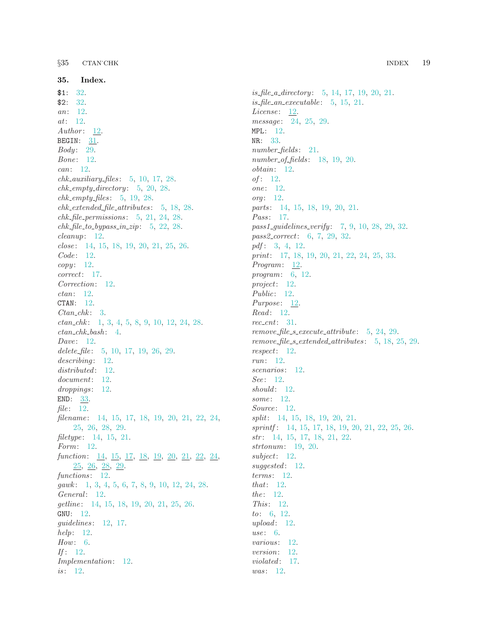<span id="page-18-0"></span>35. Index. \$1: [32.](#page-17-0) \$2: [32.](#page-17-0) an: [12.](#page-7-0) at: [12.](#page-7-0) Author: [12](#page-7-0). BEGIN: [31](#page-17-0). Body: [29.](#page-16-0) Bone: [12](#page-7-0). can: [12.](#page-7-0)  $chk_auxiliary_files: 5, 10, 17, 28.$  $chk_auxiliary_files: 5, 10, 17, 28.$  $chk_auxiliary_files: 5, 10, 17, 28.$  $chk_auxiliary_files: 5, 10, 17, 28.$  $chk_auxiliary_files: 5, 10, 17, 28.$  $chk_auxiliary_files: 5, 10, 17, 28.$  $chk_auxiliary_files: 5, 10, 17, 28.$  $chk_auxiliary_files: 5, 10, 17, 28.$  $chk_auxiliary_files: 5, 10, 17, 28.$  $chk\_empty\_directory: 5, 20, 28.$  $chk\_empty\_directory: 5, 20, 28.$  $chk\_empty\_directory: 5, 20, 28.$  $chk\_empty\_directory: 5, 20, 28.$  $chk\_empty\_directory: 5, 20, 28.$  $chk\_empty\_directory: 5, 20, 28.$  $chk\_empty_{\text{f}}$  iles: [5](#page-2-0), [19,](#page-11-0) [28](#page-16-0). chk extended file attributes : [5,](#page-2-0) [18,](#page-10-0) [28](#page-16-0).  $chk$ -file permissions: [5,](#page-2-0) [21,](#page-12-0) [24,](#page-14-0) [28.](#page-16-0)  $chk$ -file to bypass in zip: [5,](#page-2-0) [22,](#page-13-0) [28.](#page-16-0) cleanup: [12](#page-7-0). close : [14,](#page-8-0) [15,](#page-8-0) [18](#page-10-0), [19](#page-11-0), [20](#page-12-0), [21,](#page-12-0) [25,](#page-14-0) [26.](#page-15-0) Code: [12](#page-7-0).  $copy: 12.$  $copy: 12.$  $copy: 12.$ correct: [17](#page-9-0). Correction: [12.](#page-7-0) ctan: [12.](#page-7-0) CTAN: [12](#page-7-0).  $Ctan\_chk$ : [3](#page-1-0). ctan chk : [1,](#page-0-0) [3](#page-1-0), [4](#page-1-0), [5,](#page-2-0) [8](#page-4-0), [9,](#page-4-0) [10](#page-5-0), [12](#page-7-0), [24,](#page-14-0) [28](#page-16-0).  $ctan\_chk\_bash: 4.$  $ctan\_chk\_bash: 4.$  $ctan\_chk\_bash: 4.$ Dave: [12.](#page-7-0) delete\_file:  $5, 10, 17, 19, 26, 29$  $5, 10, 17, 19, 26, 29$  $5, 10, 17, 19, 26, 29$  $5, 10, 17, 19, 26, 29$  $5, 10, 17, 19, 26, 29$  $5, 10, 17, 19, 26, 29$  $5, 10, 17, 19, 26, 29$  $5, 10, 17, 19, 26, 29$  $5, 10, 17, 19, 26, 29$  $5, 10, 17, 19, 26, 29$  $5, 10, 17, 19, 26, 29$ .  $describing: 12.$  $describing: 12.$  $describing: 12.$ distributed: [12](#page-7-0). document: [12](#page-7-0). droppings: [12](#page-7-0). END:  $\frac{33}{3}$ . file:  $12$ . filename: [14](#page-8-0), [15,](#page-8-0) [17](#page-9-0), [18](#page-10-0), [19,](#page-11-0) [20,](#page-12-0) [21](#page-12-0), [22,](#page-13-0) [24,](#page-14-0) [25,](#page-14-0) [26,](#page-15-0) [28,](#page-16-0) [29](#page-16-0). filetype: [14,](#page-8-0) [15,](#page-8-0) [21.](#page-12-0) Form: [12](#page-7-0). function: <u>[14,](#page-8-0) [15](#page-8-0), [17](#page-9-0), [18,](#page-10-0) [19](#page-11-0), [20](#page-12-0), [21,](#page-12-0) [22,](#page-13-0) [24](#page-14-0)</u>, [25,](#page-14-0) [26,](#page-15-0) [28,](#page-16-0) [29](#page-16-0). functions: [12.](#page-7-0) gawk : [1](#page-0-0), [3,](#page-1-0) [4](#page-1-0), [5,](#page-2-0) [6](#page-3-0), [7,](#page-3-0) [8](#page-4-0), [9,](#page-4-0) [10](#page-5-0), [12,](#page-7-0) [24](#page-14-0), [28.](#page-16-0) General: [12](#page-7-0). getline: [14](#page-8-0), [15,](#page-8-0) [18,](#page-10-0) [19](#page-11-0), [20](#page-12-0), [21,](#page-12-0) [25,](#page-14-0) [26](#page-15-0). GNU: [12.](#page-7-0) quidelines:  $12, 17$  $12, 17$  $12, 17$ . help: [12](#page-7-0). How: [6](#page-3-0). If :  $12$ . Implementation: [12.](#page-7-0) *is*: [12](#page-7-0).

*is\_file\_a\_directory*: [5,](#page-2-0) [14,](#page-8-0) [17](#page-9-0), [19,](#page-11-0) [20,](#page-12-0) [21](#page-12-0).  $is$ -file-an-executable: [5,](#page-2-0) [15,](#page-8-0) [21](#page-12-0). License: [12](#page-7-0). message: [24](#page-14-0), [25,](#page-14-0) [29](#page-16-0). MPL: [12.](#page-7-0) NR: [33.](#page-17-0) number\_fields: [21](#page-12-0).  $number_of_{fields}: 18, 19, 20.$  $number_of_{fields}: 18, 19, 20.$  $number_of_{fields}: 18, 19, 20.$  $number_of_{fields}: 18, 19, 20.$  $number_of_{fields}: 18, 19, 20.$  $number_of_{fields}: 18, 19, 20.$ obtain: [12.](#page-7-0)  $of: 12.$  $of: 12.$  $of: 12.$ one: [12](#page-7-0). org: [12](#page-7-0). parts: [14](#page-8-0), [15](#page-8-0), [18,](#page-10-0) [19,](#page-11-0) [20](#page-12-0), [21](#page-12-0). Pass: [17.](#page-9-0) pass1\_guidelines\_verify: [7](#page-3-0), [9,](#page-4-0) [10,](#page-5-0) [28](#page-16-0), [29,](#page-16-0) [32](#page-17-0). pass2 correct: [6,](#page-3-0) [7](#page-3-0), [29](#page-16-0), [32.](#page-17-0) pdf: [3](#page-1-0), [4](#page-1-0), [12](#page-7-0). print: [17](#page-9-0), [18,](#page-10-0) [19,](#page-11-0) [20](#page-12-0), [21,](#page-12-0) [22](#page-13-0), [24](#page-14-0), [25,](#page-14-0) [33](#page-17-0). *Program*:  $12$ . program: [6,](#page-3-0) [12.](#page-7-0) project: [12](#page-7-0). Public: [12.](#page-7-0) Purpose: [12.](#page-7-0) Read: [12](#page-7-0).  $rec\_cnt: 31.$  $rec\_cnt: 31.$ remove\_file\_s\_execute\_attribute:  $5, 24, 29$  $5, 24, 29$  $5, 24, 29$  $5, 24, 29$  $5, 24, 29$ .  $remove_{file\_s\_extended\_attributes: 5, 18, 25, 29.$  $remove_{file\_s\_extended\_attributes: 5, 18, 25, 29.$  $remove_{file\_s\_extended\_attributes: 5, 18, 25, 29.$  $remove_{file\_s\_extended\_attributes: 5, 18, 25, 29.$  $remove_{file\_s\_extended\_attributes: 5, 18, 25, 29.$  $remove_{file\_s\_extended\_attributes: 5, 18, 25, 29.$  $remove_{file\_s\_extended\_attributes: 5, 18, 25, 29.$  $remove_{file\_s\_extended\_attributes: 5, 18, 25, 29.$ respect: [12](#page-7-0). run: [12](#page-7-0). scenarios: [12.](#page-7-0) See: [12](#page-7-0).  $should: 12.$  $should: 12.$  $should: 12.$ some: [12.](#page-7-0) Source: [12](#page-7-0). split: [14](#page-8-0), [15](#page-8-0), [18,](#page-10-0) [19,](#page-11-0) [20](#page-12-0), [21](#page-12-0). sprintf: [14,](#page-8-0) [15,](#page-8-0) [17](#page-9-0), [18,](#page-10-0) [19,](#page-11-0) [20](#page-12-0), [21,](#page-12-0) [22,](#page-13-0) [25](#page-14-0), [26.](#page-15-0)  $str: 14, 15, 17, 18, 21, 22.$  $str: 14, 15, 17, 18, 21, 22.$  $str: 14, 15, 17, 18, 21, 22.$  $str: 14, 15, 17, 18, 21, 22.$  $str: 14, 15, 17, 18, 21, 22.$  $str: 14, 15, 17, 18, 21, 22.$  $str: 14, 15, 17, 18, 21, 22.$  $str: 14, 15, 17, 18, 21, 22.$  $str: 14, 15, 17, 18, 21, 22.$  $str: 14, 15, 17, 18, 21, 22.$  $str: 14, 15, 17, 18, 21, 22.$  $str: 14, 15, 17, 18, 21, 22.$ strtonum: [19](#page-11-0), [20.](#page-12-0) subject: [12](#page-7-0). suggested: [12.](#page-7-0)  $terms: 12.$  $terms: 12.$  $terms: 12.$ that: [12.](#page-7-0) the: [12.](#page-7-0) This: [12](#page-7-0). to: [6](#page-3-0), [12.](#page-7-0) upload:  $12$ . use: [6.](#page-3-0) various: [12](#page-7-0). version: [12](#page-7-0). violated: [17](#page-9-0).  $was: 12.$  $was: 12.$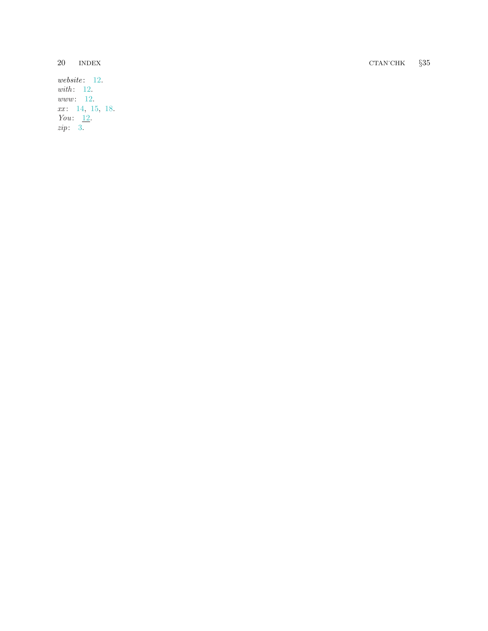CTAN'CHK §35

 $20$  INDEX

website: [12](#page-7-0). with: [12](#page-7-0). www: [12](#page-7-0). xx: [14](#page-8-0), [15](#page-8-0), [18](#page-10-0). You: [12](#page-7-0). zip : [3](#page-1-0) .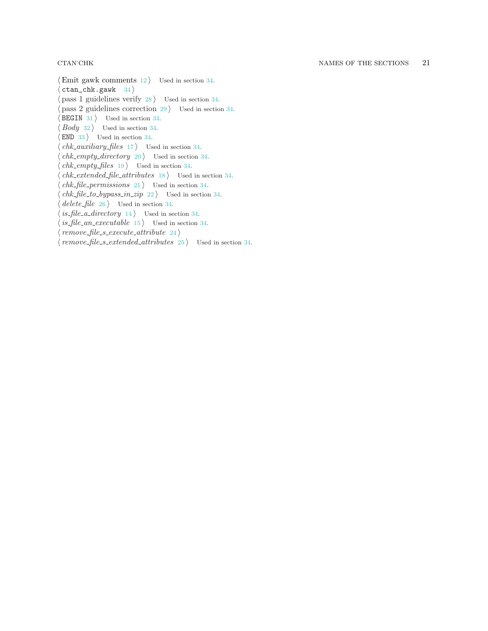$\langle$  Emit gawk comments  $12$  Used in section [34](#page-17-0).  $\langle \texttt{ctan\_chk.gawk} \quad 34 \rangle$  $\langle \texttt{ctan\_chk.gawk} \quad 34 \rangle$  $\langle \texttt{ctan\_chk.gawk} \quad 34 \rangle$  $\langle$  pass 1 guidelines verify [28](#page-16-0) i Used in section [34.](#page-17-0)  $\langle$  pass 2 guidelines correction [29](#page-16-0)  $\rangle$  Used in section [34.](#page-17-0)  $\langle$  BEGIN [31](#page-17-0)  $\rangle$  Used in section [34](#page-17-0).  $\langle Body\ 32 \rangle$  $\langle Body\ 32 \rangle$  $\langle Body\ 32 \rangle$  Used in section [34](#page-17-0).  $\langle$  END [33](#page-17-0)  $\rangle$  Used in section [34.](#page-17-0)  $chk_auxiliary_{\text{f}}\,les\ 17$  $chk_auxiliary_{\text{f}}\,les\ 17$  Used in section [34.](#page-17-0)  $chk\_empty\_directory$  [20](#page-12-0) in section [34](#page-17-0).  $chk\_empty\_files \ 19$  $chk\_empty\_files \ 19$  Used in section [34](#page-17-0).  $chk\_extended\_file\_attributes$  [18](#page-10-0) in section [34](#page-17-0).  $chk$ -file permissions  $21$  Used in section [34.](#page-17-0)  $chk$ -file  $to$ -bypass-in-zip [22](#page-13-0)) Used in section [34](#page-17-0).  $delete_{\text{file 26}}$  $delete_{\text{file 26}}$  $delete_{\text{file 26}}$  Used in section [34.](#page-17-0) is\_file\_a\_directory  $14$  Vsed in section [34.](#page-17-0) is file  $an\_execute$  [15](#page-8-0) is used in section [34](#page-17-0).  $remove_{file\_s\_execute\_attribute \ 24}$  $remove_{file\_s\_execute\_attribute \ 24}$  $remove_{file\_s\_execute\_attribute \ 24}$  $\langle$  remove\_file\_s\_extended\_attributes [25](#page-14-0) \ Used in section [34.](#page-17-0)